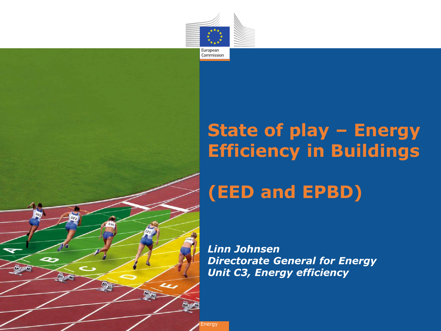

Commission



### **State of play – Energy Efficiency in Buildings**

### **(EED and EPBD)**

*Linn Johnsen Directorate General for Energy Unit C3, Energy efficiency*

Energy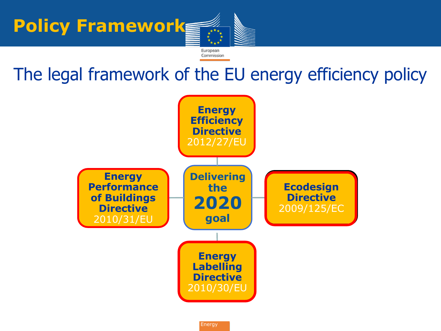

### The legal framework of the EU energy efficiency policy



**Energy**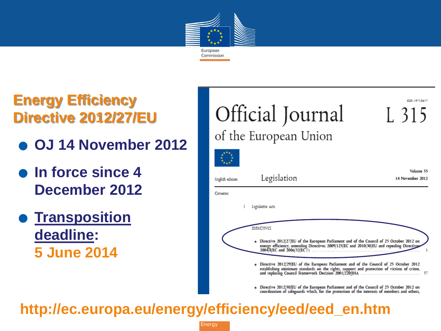

# **Energy Efficiency Directive 2012/27/EU Directive 2012/27/EU<br>● OJ 14 November 2012**

- 
- 0J 14 Novembe<br>● **In force since 4 December 2012 .** In force since 4<br>December 2012<br>Transposition
	- **deadline: 5 June 2014**



### **http://ec.europa.eu/energy/efficiency/eed/eed\_en.htm**

**Energy**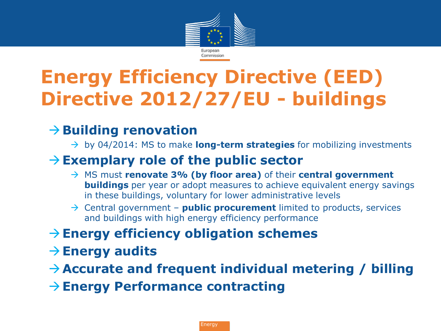

# **Energy Efficiency Directive (EED) Directive 2012/27/EU - buildings**

### **→ Building renovation**

→ by 04/2014: MS to make **long-term strategies** for mobilizing investments

#### **Exemplary role of the public sector**

- MS must **renovate 3% (by floor area)** of their **central government buildings** per year or adopt measures to achieve equivalent energy savings in these buildings, voluntary for lower administrative levels
- $\rightarrow$  Central government **public procurement** limited to products, services and buildings with high energy efficiency performance
- **Energy efficiency obligation schemes**
- $\rightarrow$  Energy audits
- **Accurate and frequent individual metering / billing**
- **Energy Performance contracting**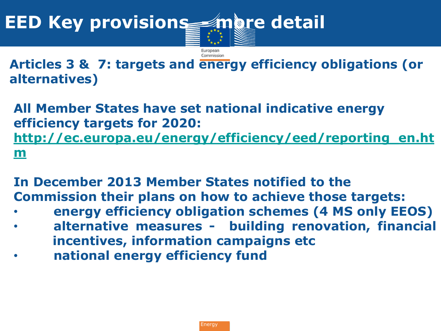

**Articles 3 & 7: targets and energy efficiency obligations (or alternatives)**

**All Member States have set national indicative energy efficiency targets for 2020: [http://ec.europa.eu/energy/efficiency/eed/reporting\\_en.ht](http://ec.europa.eu/energy/efficiency/eed/reporting_en.htm) [m](http://ec.europa.eu/energy/efficiency/eed/reporting_en.htm)**

**In December 2013 Member States notified to the Commission their plans on how to achieve those targets:**

- **energy efficiency obligation schemes (4 MS only EEOS)**
- **alternative measures building renovation, financial incentives, information campaigns etc**
- **national energy efficiency fund**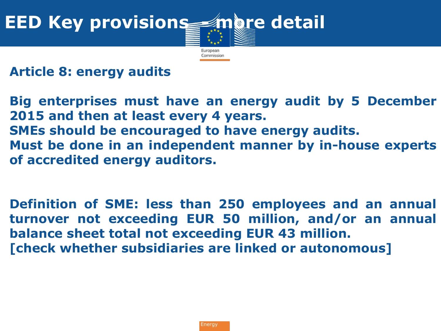

**Article 8: energy audits**

**Big enterprises must have an energy audit by 5 December 2015 and then at least every 4 years. SMEs should be encouraged to have energy audits. Must be done in an independent manner by in-house experts of accredited energy auditors.**

**Definition of SME: less than 250 employees and an annual turnover not exceeding EUR 50 million, and/or an annual balance sheet total not exceeding EUR 43 million. [check whether subsidiaries are linked or autonomous]**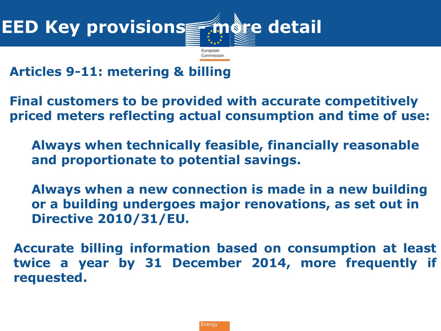

**Articles 9-11: metering & billing**

**Final customers to be provided with accurate competitively priced meters reflecting actual consumption and time of use:**

**Always when technically feasible, financially reasonable and proportionate to potential savings.**

**Always when a new connection is made in a new building or a building undergoes major renovations, as set out in Directive 2010/31/EU.**

**Accurate billing information based on consumption at least twice a year by 31 December 2014, more frequently if requested.**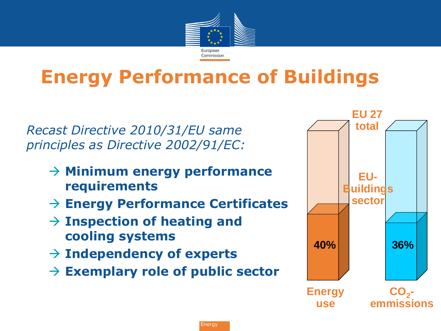

## **Energy Performance of Buildings**

*Recast Directive 2010/31/EU same principles as Directive 2002/91/EC:*

- **Minimum energy performance requirements**
- **Energy Performance Certificates**
- **Inspection of heating and cooling systems**
- **Independency of experts**
- **Exemplary role of public sector**

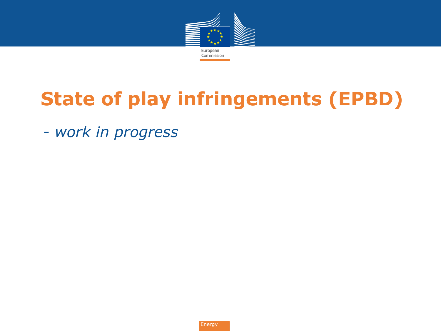

# **State of play infringements (EPBD)**

• *- work in progress*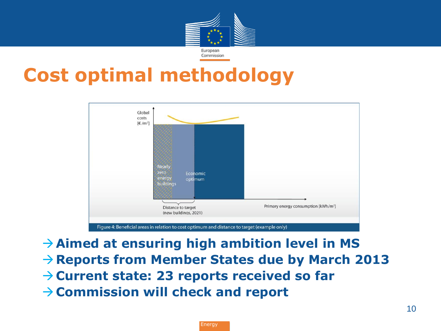

### **Cost optimal methodology**



**Aimed at ensuring high ambition level in MS Reports from Member States due by March 2013 Current state: 23 reports received so far Commission will check and report**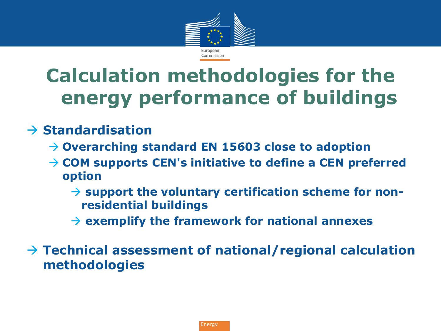

## **Calculation methodologies for the energy performance of buildings**

#### $\rightarrow$  Standardisation

- **Overarching standard EN 15603 close to adoption**
- **COM supports CEN's initiative to define a CEN preferred option**
	- → support the voluntary certification scheme for non**residential buildings**
	- **exemplify the framework for national annexes**

 **Technical assessment of national/regional calculation methodologies**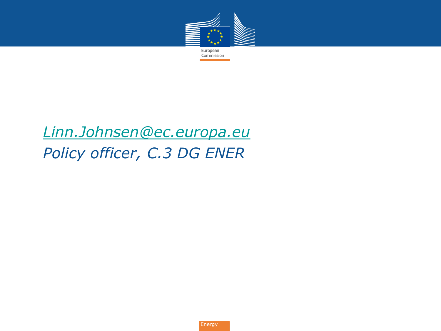

### • *[Linn.Johnsen@ec.europa.eu](mailto:Linn.Johnsen@ec.europa.eu)* • *Policy officer, C.3 DG ENER*